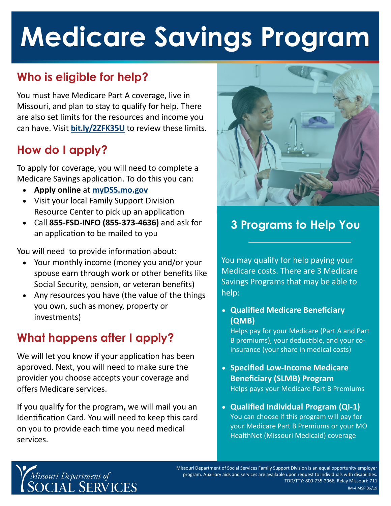# **Medicare Savings Program**

# **Who is eligible for help?**

You must have Medicare Part A coverage, live in Missouri, and plan to stay to qualify for help. There are also set limits for the resources and income you can have. Visit **[bit.ly/2ZFK35U](https://bit.ly/2ZFK35U)** to review these limits.

# **How do I apply?**

To apply for coverage, you will need to complete a Medicare Savings application. To do this you can:

- **Apply online** at **[myDSS.mo.gov](http://mydss.mo.gov)**
- Visit your local Family Support Division Resource Center to pick up an application
- Call **855-FSD-INFO (855-373-4636)** and ask for an application to be mailed to you

You will need to provide information about:

- Your monthly income (money you and/or your spouse earn through work or other benefits like Social Security, pension, or veteran benefits)
- Any resources you have (the value of the things you own, such as money, property or investments)

# **What happens after I apply?**

We will let you know if your application has been approved. Next, you will need to make sure the provider you choose accepts your coverage and offers Medicare services.

If you qualify for the program**,** we will mail you an Identification Card. You will need to keep this card on you to provide each time you need medical services.



# **3 Programs to Help You**

You may qualify for help paying your Medicare costs. There are 3 Medicare Savings Programs that may be able to help:

 **Qualified Medicare Beneficiary (QMB)** 

Helps pay for your Medicare (Part A and Part B premiums), your deductible, and your coinsurance (your share in medical costs)

- **Specified Low-Income Medicare Beneficiary (SLMB) Program**  Helps pays your Medicare Part B Premiums
- **Qualified Individual Program (QI-1)** You can choose if this program will pay for your Medicare Part B Premiums or your MO HealthNet (Missouri Medicaid) coverage



Missouri Department of Social Services Family Support Division is an equal opportunity employer program. Auxiliary aids and services are available upon request to individuals with disabilities. TDD/TTY: 800-735-2966, Relay Missouri: 711 IM-4 MSP 06/19